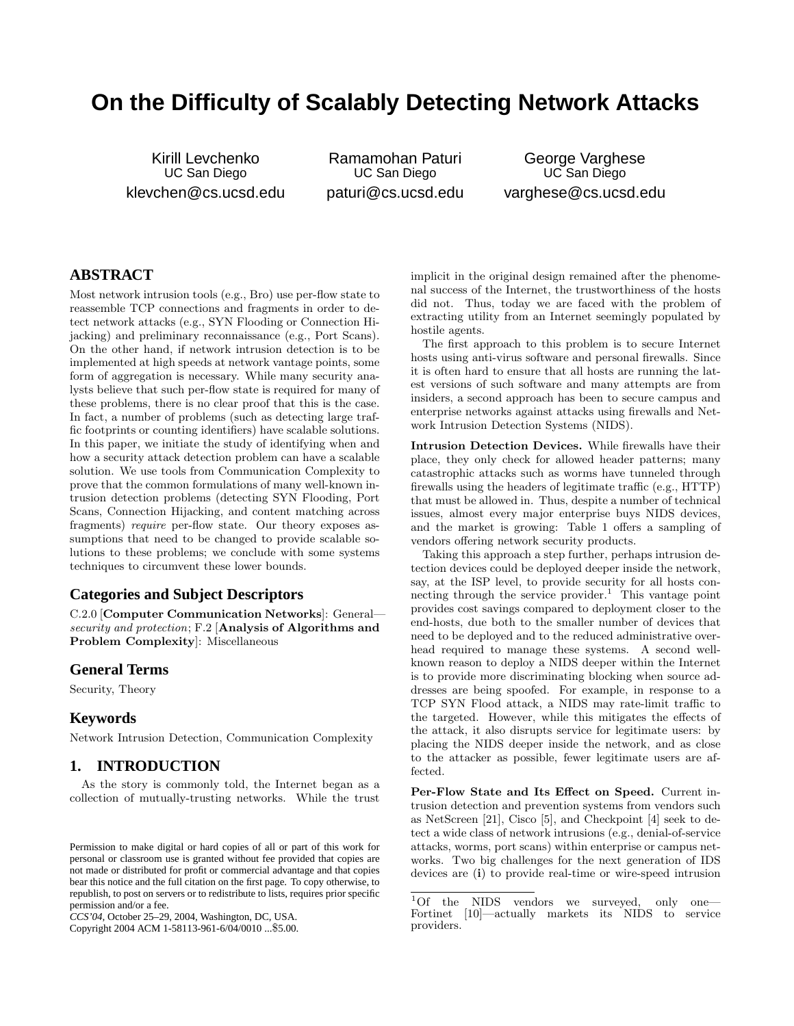# **On the Difficulty of Scalably Detecting Network Attacks**

Kirill Levchenko UC San Diego klevchen@cs.ucsd.edu

Ramamohan Paturi UC San Diego paturi@cs.ucsd.edu

George Varghese UC San Diego varghese@cs.ucsd.edu

# **ABSTRACT**

Most network intrusion tools (e.g., Bro) use per-flow state to reassemble TCP connections and fragments in order to detect network attacks (e.g., SYN Flooding or Connection Hijacking) and preliminary reconnaissance (e.g., Port Scans). On the other hand, if network intrusion detection is to be implemented at high speeds at network vantage points, some form of aggregation is necessary. While many security analysts believe that such per-flow state is required for many of these problems, there is no clear proof that this is the case. In fact, a number of problems (such as detecting large traffic footprints or counting identifiers) have scalable solutions. In this paper, we initiate the study of identifying when and how a security attack detection problem can have a scalable solution. We use tools from Communication Complexity to prove that the common formulations of many well-known intrusion detection problems (detecting SYN Flooding, Port Scans, Connection Hijacking, and content matching across fragments) require per-flow state. Our theory exposes assumptions that need to be changed to provide scalable solutions to these problems; we conclude with some systems techniques to circumvent these lower bounds.

#### **Categories and Subject Descriptors**

C.2.0 [Computer Communication Networks]: General security and protection; F.2 [Analysis of Algorithms and Problem Complexity]: Miscellaneous

#### **General Terms**

Security, Theory

## **Keywords**

Network Intrusion Detection, Communication Complexity

# **1. INTRODUCTION**

As the story is commonly told, the Internet began as a collection of mutually-trusting networks. While the trust

Copyright 2004 ACM 1-58113-961-6/04/0010 ...\$5.00.

implicit in the original design remained after the phenomenal success of the Internet, the trustworthiness of the hosts did not. Thus, today we are faced with the problem of extracting utility from an Internet seemingly populated by hostile agents.

The first approach to this problem is to secure Internet hosts using anti-virus software and personal firewalls. Since it is often hard to ensure that all hosts are running the latest versions of such software and many attempts are from insiders, a second approach has been to secure campus and enterprise networks against attacks using firewalls and Network Intrusion Detection Systems (NIDS).

Intrusion Detection Devices. While firewalls have their place, they only check for allowed header patterns; many catastrophic attacks such as worms have tunneled through firewalls using the headers of legitimate traffic (e.g., HTTP) that must be allowed in. Thus, despite a number of technical issues, almost every major enterprise buys NIDS devices, and the market is growing: Table 1 offers a sampling of vendors offering network security products.

Taking this approach a step further, perhaps intrusion detection devices could be deployed deeper inside the network, say, at the ISP level, to provide security for all hosts connecting through the service provider.<sup>1</sup> This vantage point provides cost savings compared to deployment closer to the end-hosts, due both to the smaller number of devices that need to be deployed and to the reduced administrative overhead required to manage these systems. A second wellknown reason to deploy a NIDS deeper within the Internet is to provide more discriminating blocking when source addresses are being spoofed. For example, in response to a TCP SYN Flood attack, a NIDS may rate-limit traffic to the targeted. However, while this mitigates the effects of the attack, it also disrupts service for legitimate users: by placing the NIDS deeper inside the network, and as close to the attacker as possible, fewer legitimate users are affected.

Per-Flow State and Its Effect on Speed. Current intrusion detection and prevention systems from vendors such as NetScreen [21], Cisco [5], and Checkpoint [4] seek to detect a wide class of network intrusions (e.g., denial-of-service attacks, worms, port scans) within enterprise or campus networks. Two big challenges for the next generation of IDS devices are (i) to provide real-time or wire-speed intrusion

Permission to make digital or hard copies of all or part of this work for personal or classroom use is granted without fee provided that copies are not made or distributed for profit or commercial advantage and that copies bear this notice and the full citation on the first page. To copy otherwise, to republish, to post on servers or to redistribute to lists, requires prior specific permission and/or a fee.

*CCS'04,* October 25–29, 2004, Washington, DC, USA.

<sup>1</sup>Of the NIDS vendors we surveyed, only one— Fortinet [10]—actually markets its NIDS to service providers.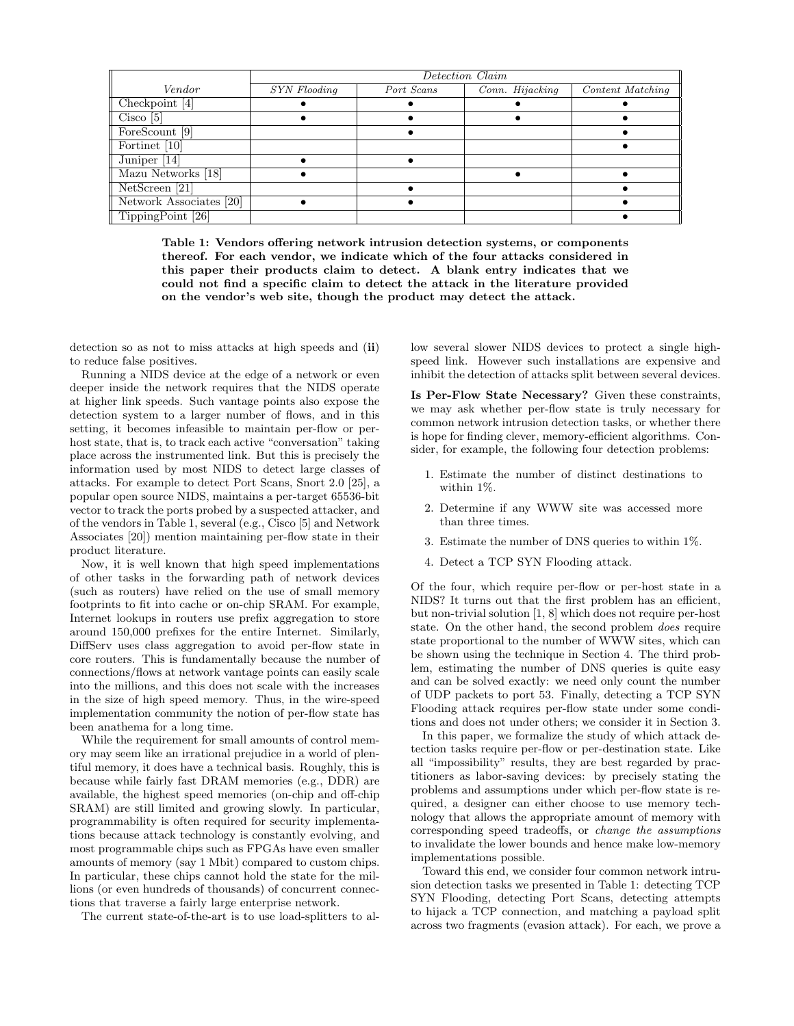|                         | Detection Claim |            |                 |                  |
|-------------------------|-----------------|------------|-----------------|------------------|
| Vendor                  | SYN Flooding    | Port Scans | Conn. Hijacking | Content Matching |
| Checkpoint $[4]$        |                 |            |                 |                  |
| $Cisco$ [5]             |                 |            |                 |                  |
| ForeScount [9]          |                 |            |                 |                  |
| Fortinet [10]           |                 |            |                 |                  |
| Juniper $\overline{14}$ |                 |            |                 |                  |
| Mazu Networks [18]      |                 |            |                 |                  |
| NetScreen [21]          |                 |            |                 |                  |
| Network Associates [20] |                 |            |                 |                  |
| TippingPoint [26]       |                 |            |                 |                  |

Table 1: Vendors offering network intrusion detection systems, or components thereof. For each vendor, we indicate which of the four attacks considered in this paper their products claim to detect. A blank entry indicates that we could not find a specific claim to detect the attack in the literature provided on the vendor's web site, though the product may detect the attack.

detection so as not to miss attacks at high speeds and (ii) to reduce false positives.

Running a NIDS device at the edge of a network or even deeper inside the network requires that the NIDS operate at higher link speeds. Such vantage points also expose the detection system to a larger number of flows, and in this setting, it becomes infeasible to maintain per-flow or perhost state, that is, to track each active "conversation" taking place across the instrumented link. But this is precisely the information used by most NIDS to detect large classes of attacks. For example to detect Port Scans, Snort 2.0 [25], a popular open source NIDS, maintains a per-target 65536-bit vector to track the ports probed by a suspected attacker, and of the vendors in Table 1, several (e.g., Cisco [5] and Network Associates [20]) mention maintaining per-flow state in their product literature.

Now, it is well known that high speed implementations of other tasks in the forwarding path of network devices (such as routers) have relied on the use of small memory footprints to fit into cache or on-chip SRAM. For example, Internet lookups in routers use prefix aggregation to store around 150,000 prefixes for the entire Internet. Similarly, DiffServ uses class aggregation to avoid per-flow state in core routers. This is fundamentally because the number of connections/flows at network vantage points can easily scale into the millions, and this does not scale with the increases in the size of high speed memory. Thus, in the wire-speed implementation community the notion of per-flow state has been anathema for a long time.

While the requirement for small amounts of control memory may seem like an irrational prejudice in a world of plentiful memory, it does have a technical basis. Roughly, this is because while fairly fast DRAM memories (e.g., DDR) are available, the highest speed memories (on-chip and off-chip SRAM) are still limited and growing slowly. In particular, programmability is often required for security implementations because attack technology is constantly evolving, and most programmable chips such as FPGAs have even smaller amounts of memory (say 1 Mbit) compared to custom chips. In particular, these chips cannot hold the state for the millions (or even hundreds of thousands) of concurrent connections that traverse a fairly large enterprise network.

The current state-of-the-art is to use load-splitters to al-

low several slower NIDS devices to protect a single highspeed link. However such installations are expensive and inhibit the detection of attacks split between several devices.

Is Per-Flow State Necessary? Given these constraints, we may ask whether per-flow state is truly necessary for common network intrusion detection tasks, or whether there is hope for finding clever, memory-efficient algorithms. Consider, for example, the following four detection problems:

- 1. Estimate the number of distinct destinations to within 1%.
- 2. Determine if any WWW site was accessed more than three times.
- 3. Estimate the number of DNS queries to within 1%.
- 4. Detect a TCP SYN Flooding attack.

Of the four, which require per-flow or per-host state in a NIDS? It turns out that the first problem has an efficient, but non-trivial solution [1, 8] which does not require per-host state. On the other hand, the second problem does require state proportional to the number of WWW sites, which can be shown using the technique in Section 4. The third problem, estimating the number of DNS queries is quite easy and can be solved exactly: we need only count the number of UDP packets to port 53. Finally, detecting a TCP SYN Flooding attack requires per-flow state under some conditions and does not under others; we consider it in Section 3.

In this paper, we formalize the study of which attack detection tasks require per-flow or per-destination state. Like all "impossibility" results, they are best regarded by practitioners as labor-saving devices: by precisely stating the problems and assumptions under which per-flow state is required, a designer can either choose to use memory technology that allows the appropriate amount of memory with corresponding speed tradeoffs, or change the assumptions to invalidate the lower bounds and hence make low-memory implementations possible.

Toward this end, we consider four common network intrusion detection tasks we presented in Table 1: detecting TCP SYN Flooding, detecting Port Scans, detecting attempts to hijack a TCP connection, and matching a payload split across two fragments (evasion attack). For each, we prove a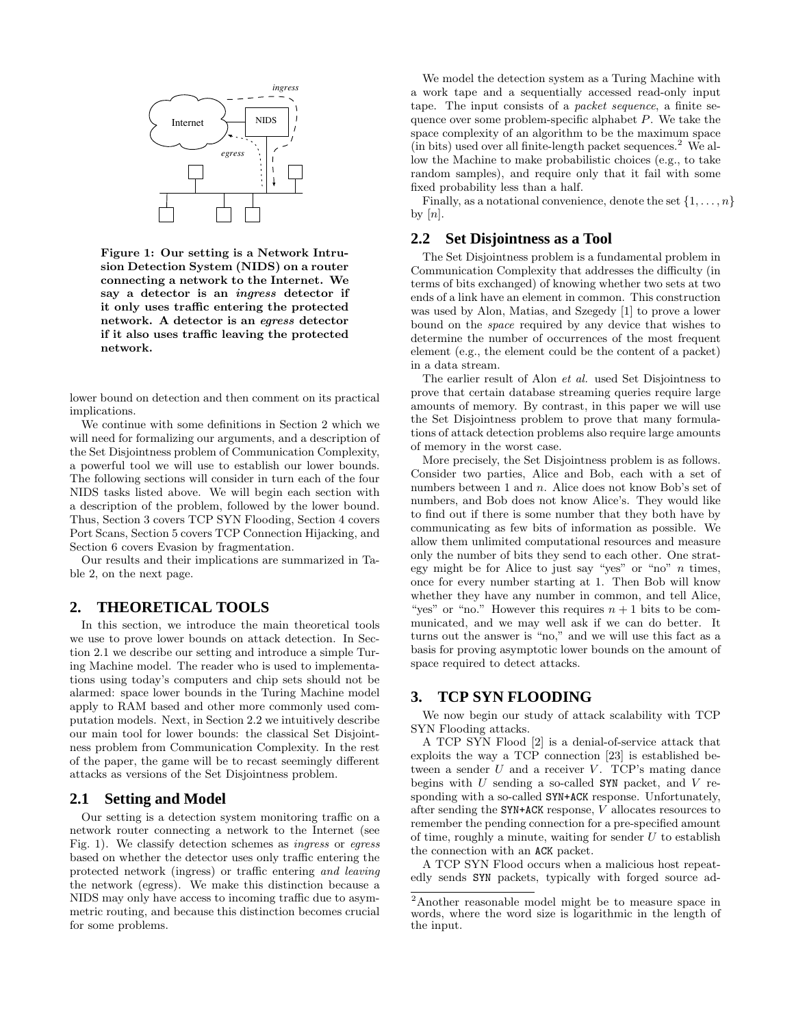

Figure 1: Our setting is a Network Intrusion Detection System (NIDS) on a router connecting a network to the Internet. We say a detector is an ingress detector if it only uses traffic entering the protected network. A detector is an egress detector if it also uses traffic leaving the protected network.

lower bound on detection and then comment on its practical implications.

We continue with some definitions in Section 2 which we will need for formalizing our arguments, and a description of the Set Disjointness problem of Communication Complexity, a powerful tool we will use to establish our lower bounds. The following sections will consider in turn each of the four NIDS tasks listed above. We will begin each section with a description of the problem, followed by the lower bound. Thus, Section 3 covers TCP SYN Flooding, Section 4 covers Port Scans, Section 5 covers TCP Connection Hijacking, and Section 6 covers Evasion by fragmentation.

Our results and their implications are summarized in Table 2, on the next page.

#### **2. THEORETICAL TOOLS**

In this section, we introduce the main theoretical tools we use to prove lower bounds on attack detection. In Section 2.1 we describe our setting and introduce a simple Turing Machine model. The reader who is used to implementations using today's computers and chip sets should not be alarmed: space lower bounds in the Turing Machine model apply to RAM based and other more commonly used computation models. Next, in Section 2.2 we intuitively describe our main tool for lower bounds: the classical Set Disjointness problem from Communication Complexity. In the rest of the paper, the game will be to recast seemingly different attacks as versions of the Set Disjointness problem.

#### **2.1 Setting and Model**

Our setting is a detection system monitoring traffic on a network router connecting a network to the Internet (see Fig. 1). We classify detection schemes as ingress or egress based on whether the detector uses only traffic entering the protected network (ingress) or traffic entering and leaving the network (egress). We make this distinction because a NIDS may only have access to incoming traffic due to asymmetric routing, and because this distinction becomes crucial for some problems.

We model the detection system as a Turing Machine with a work tape and a sequentially accessed read-only input tape. The input consists of a packet sequence, a finite sequence over some problem-specific alphabet  $P$ . We take the space complexity of an algorithm to be the maximum space  $\pi$  (in bits) used over all finite-length packet sequences.<sup>2</sup> We allow the Machine to make probabilistic choices (e.g., to take random samples), and require only that it fail with some fixed probability less than a half.

Finally, as a notational convenience, denote the set  $\{1, \ldots, n\}$ by  $[n]$ .

#### **2.2 Set Disjointness as a Tool**

The Set Disjointness problem is a fundamental problem in Communication Complexity that addresses the difficulty (in terms of bits exchanged) of knowing whether two sets at two ends of a link have an element in common. This construction was used by Alon, Matias, and Szegedy [1] to prove a lower bound on the space required by any device that wishes to determine the number of occurrences of the most frequent element (e.g., the element could be the content of a packet) in a data stream.

The earlier result of Alon et al. used Set Disjointness to prove that certain database streaming queries require large amounts of memory. By contrast, in this paper we will use the Set Disjointness problem to prove that many formulations of attack detection problems also require large amounts of memory in the worst case.

More precisely, the Set Disjointness problem is as follows. Consider two parties, Alice and Bob, each with a set of numbers between 1 and *n*. Alice does not know Bob's set of numbers, and Bob does not know Alice's. They would like to find out if there is some number that they both have by communicating as few bits of information as possible. We allow them unlimited computational resources and measure only the number of bits they send to each other. One strategy might be for Alice to just say "yes" or "no"  $n$  times, once for every number starting at 1. Then Bob will know whether they have any number in common, and tell Alice, "yes" or "no." However this requires  $n + 1$  bits to be communicated, and we may well ask if we can do better. It turns out the answer is "no," and we will use this fact as a basis for proving asymptotic lower bounds on the amount of space required to detect attacks.

## **3. TCP SYN FLOODING**

We now begin our study of attack scalability with TCP SYN Flooding attacks.

A TCP SYN Flood [2] is a denial-of-service attack that exploits the way a TCP connection [23] is established between a sender  $U$  and a receiver  $V$ . TCP's mating dance begins with  $U$  sending a so-called SYN packet, and  $V$  responding with a so-called SYN+ACK response. Unfortunately, after sending the SYN+ACK response, V allocates resources to remember the pending connection for a pre-specified amount of time, roughly a minute, waiting for sender  $U$  to establish the connection with an ACK packet.

A TCP SYN Flood occurs when a malicious host repeatedly sends SYN packets, typically with forged source ad-

<sup>2</sup>Another reasonable model might be to measure space in words, where the word size is logarithmic in the length of the input.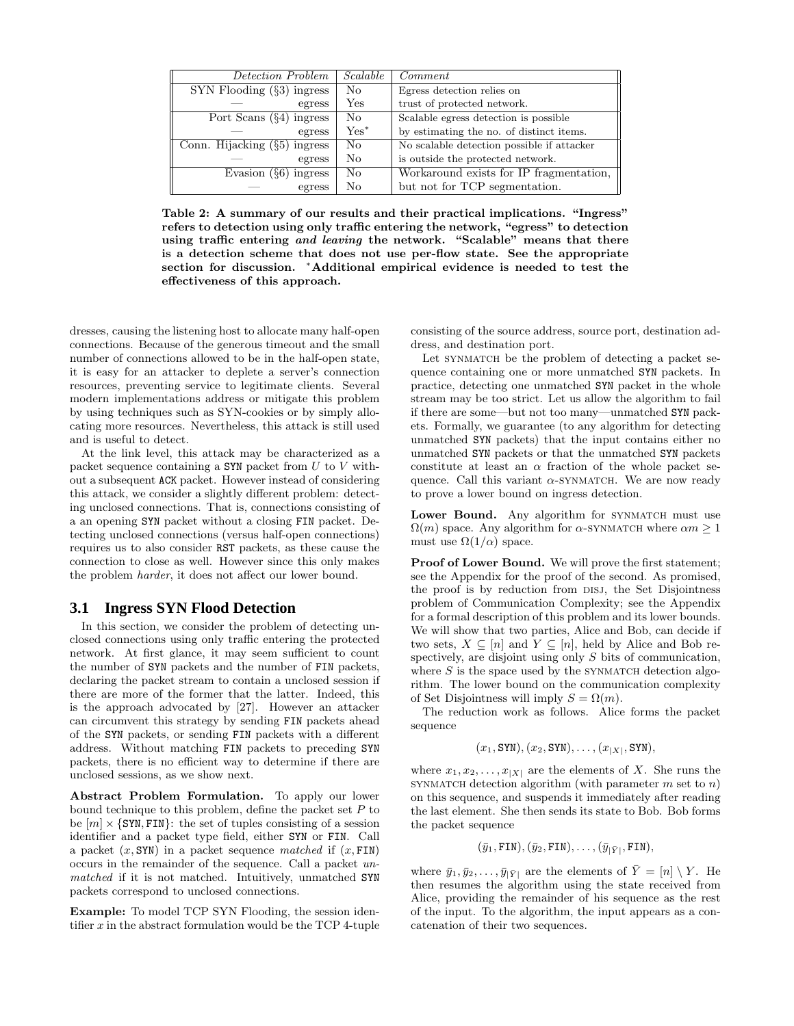| <i>Detection Problem</i>               | Scalable       | Comment                                    |  |
|----------------------------------------|----------------|--------------------------------------------|--|
| $SYN$ Flooding $(\S 3)$ ingress        | No             | Egress detection relies on                 |  |
| egress                                 | Yes            | trust of protected network.                |  |
| Port Scans $(\S4)$ ingress             | No             | Scalable egress detection is possible      |  |
| egress                                 | $Yes^*$        | by estimating the no. of distinct items.   |  |
| Conn. Hijacking $(\S 5)$ ingress       | No.            | No scalable detection possible if attacker |  |
| egress                                 | N <sub>o</sub> | is outside the protected network.          |  |
| $\rm No$<br>Evasion $(\S6)$<br>ingress |                | Workaround exists for IP fragmentation.    |  |
| egress                                 | No             | but not for TCP segmentation.              |  |

Table 2: A summary of our results and their practical implications. "Ingress" refers to detection using only traffic entering the network, "egress" to detection using traffic entering and leaving the network. "Scalable" means that there is a detection scheme that does not use per-flow state. See the appropriate section for discussion. <sup>∗</sup>Additional empirical evidence is needed to test the effectiveness of this approach.

dresses, causing the listening host to allocate many half-open connections. Because of the generous timeout and the small number of connections allowed to be in the half-open state, it is easy for an attacker to deplete a server's connection resources, preventing service to legitimate clients. Several modern implementations address or mitigate this problem by using techniques such as SYN-cookies or by simply allocating more resources. Nevertheless, this attack is still used and is useful to detect.

At the link level, this attack may be characterized as a packet sequence containing a SYN packet from  $U$  to  $V$  without a subsequent ACK packet. However instead of considering this attack, we consider a slightly different problem: detecting unclosed connections. That is, connections consisting of a an opening SYN packet without a closing FIN packet. Detecting unclosed connections (versus half-open connections) requires us to also consider RST packets, as these cause the connection to close as well. However since this only makes the problem harder, it does not affect our lower bound.

#### **3.1 Ingress SYN Flood Detection**

In this section, we consider the problem of detecting unclosed connections using only traffic entering the protected network. At first glance, it may seem sufficient to count the number of SYN packets and the number of FIN packets, declaring the packet stream to contain a unclosed session if there are more of the former that the latter. Indeed, this is the approach advocated by [27]. However an attacker can circumvent this strategy by sending FIN packets ahead of the SYN packets, or sending FIN packets with a different address. Without matching FIN packets to preceding SYN packets, there is no efficient way to determine if there are unclosed sessions, as we show next.

Abstract Problem Formulation. To apply our lower bound technique to this problem, define the packet set  $P$  to be  $[m] \times \{SYN, FIN\}$ : the set of tuples consisting of a session identifier and a packet type field, either SYN or FIN. Call a packet  $(x, \text{SYN})$  in a packet sequence matched if  $(x, \text{FIN})$ occurs in the remainder of the sequence. Call a packet unmatched if it is not matched. Intuitively, unmatched SYN packets correspond to unclosed connections.

Example: To model TCP SYN Flooding, the session identifier  $x$  in the abstract formulation would be the TCP 4-tuple

consisting of the source address, source port, destination address, and destination port.

Let SYNMATCH be the problem of detecting a packet sequence containing one or more unmatched SYN packets. In practice, detecting one unmatched SYN packet in the whole stream may be too strict. Let us allow the algorithm to fail if there are some—but not too many—unmatched SYN packets. Formally, we guarantee (to any algorithm for detecting unmatched SYN packets) that the input contains either no unmatched SYN packets or that the unmatched SYN packets constitute at least an  $\alpha$  fraction of the whole packet sequence. Call this variant  $\alpha$ -SYNMATCH. We are now ready to prove a lower bound on ingress detection.

Lower Bound. Any algorithm for SYNMATCH must use  $\Omega(m)$  space. Any algorithm for  $\alpha$ -synmatch where  $\alpha m \geq 1$ must use  $\Omega(1/\alpha)$  space.

Proof of Lower Bound. We will prove the first statement; see the Appendix for the proof of the second. As promised, the proof is by reduction from disj, the Set Disjointness problem of Communication Complexity; see the Appendix for a formal description of this problem and its lower bounds. We will show that two parties, Alice and Bob, can decide if two sets,  $X \subseteq [n]$  and  $Y \subseteq [n]$ , held by Alice and Bob respectively, are disjoint using only S bits of communication, where  $S$  is the space used by the SYNMATCH detection algorithm. The lower bound on the communication complexity of Set Disjointness will imply  $S = \Omega(m)$ .

The reduction work as follows. Alice forms the packet sequence

$$
(x_1, \text{SYN}), (x_2, \text{SYN}), \ldots, (x_{|X|}, \text{SYN}),
$$

where  $x_1, x_2, \ldots, x_{|X|}$  are the elements of X. She runs the SYNMATCH detection algorithm (with parameter  $m$  set to  $n$ ) on this sequence, and suspends it immediately after reading the last element. She then sends its state to Bob. Bob forms the packet sequence

$$
(\bar{y}_1, \texttt{FIN}), (\bar{y}_2, \texttt{FIN}), \ldots, (\bar{y}_{|\bar{Y}|}, \texttt{FIN}),
$$

where  $\bar{y}_1, \bar{y}_2, \ldots, \bar{y}_{|\bar{Y}|}$  are the elements of  $\bar{Y} = [n] \setminus Y$ . He then resumes the algorithm using the state received from Alice, providing the remainder of his sequence as the rest of the input. To the algorithm, the input appears as a concatenation of their two sequences.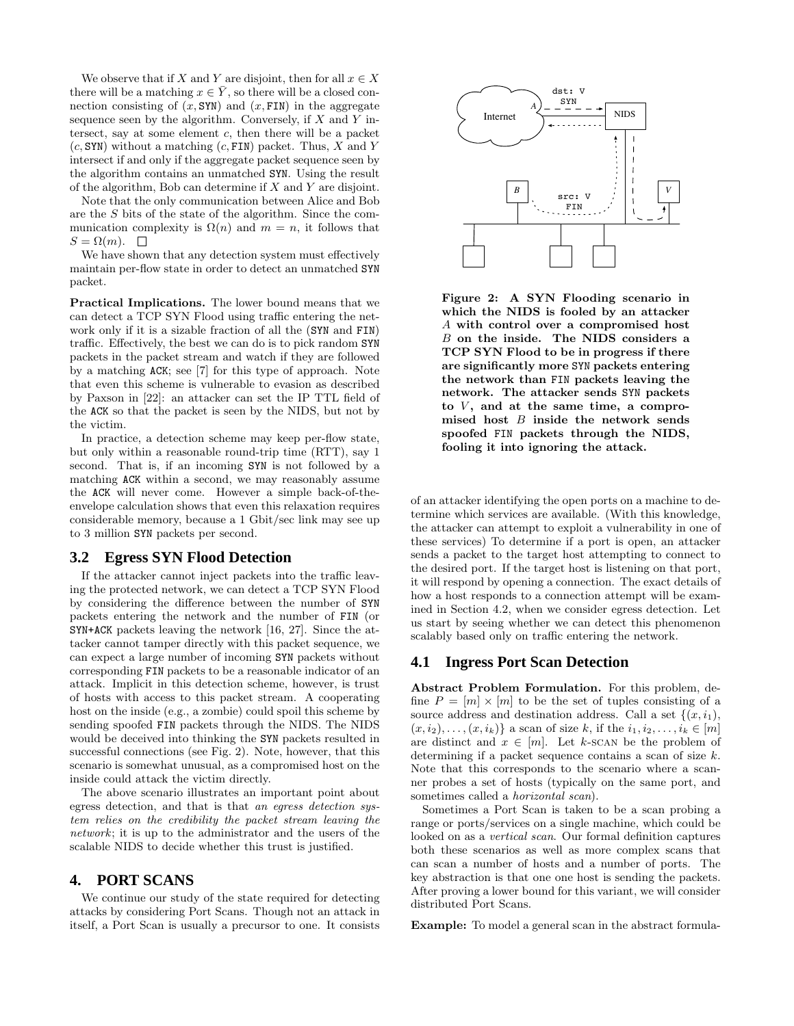We observe that if X and Y are disjoint, then for all  $x \in X$ there will be a matching  $x \in \overline{Y}$ , so there will be a closed connection consisting of  $(x, \text{SYN})$  and  $(x, \text{FIN})$  in the aggregate sequence seen by the algorithm. Conversely, if  $X$  and  $Y$  intersect, say at some element c, then there will be a packet  $(c, SYN)$  without a matching  $(c, FIN)$  packet. Thus, X and Y intersect if and only if the aggregate packet sequence seen by the algorithm contains an unmatched SYN. Using the result of the algorithm, Bob can determine if X and Y are disjoint.

Note that the only communication between Alice and Bob are the S bits of the state of the algorithm. Since the communication complexity is  $\Omega(n)$  and  $m = n$ , it follows that  $S = \Omega(m)$ .  $\Box$ 

We have shown that any detection system must effectively maintain per-flow state in order to detect an unmatched SYN packet.

Practical Implications. The lower bound means that we can detect a TCP SYN Flood using traffic entering the network only if it is a sizable fraction of all the (SYN and FIN) traffic. Effectively, the best we can do is to pick random SYN packets in the packet stream and watch if they are followed by a matching ACK; see [7] for this type of approach. Note that even this scheme is vulnerable to evasion as described by Paxson in [22]: an attacker can set the IP TTL field of the ACK so that the packet is seen by the NIDS, but not by the victim.

In practice, a detection scheme may keep per-flow state, but only within a reasonable round-trip time (RTT), say 1 second. That is, if an incoming SYN is not followed by a matching ACK within a second, we may reasonably assume the ACK will never come. However a simple back-of-theenvelope calculation shows that even this relaxation requires considerable memory, because a 1 Gbit/sec link may see up to 3 million SYN packets per second.

#### **3.2 Egress SYN Flood Detection**

If the attacker cannot inject packets into the traffic leaving the protected network, we can detect a TCP SYN Flood by considering the difference between the number of SYN packets entering the network and the number of FIN (or SYN+ACK packets leaving the network [16, 27]. Since the attacker cannot tamper directly with this packet sequence, we can expect a large number of incoming SYN packets without corresponding FIN packets to be a reasonable indicator of an attack. Implicit in this detection scheme, however, is trust of hosts with access to this packet stream. A cooperating host on the inside (e.g., a zombie) could spoil this scheme by sending spoofed FIN packets through the NIDS. The NIDS would be deceived into thinking the SYN packets resulted in successful connections (see Fig. 2). Note, however, that this scenario is somewhat unusual, as a compromised host on the inside could attack the victim directly.

The above scenario illustrates an important point about egress detection, and that is that an egress detection system relies on the credibility the packet stream leaving the network; it is up to the administrator and the users of the scalable NIDS to decide whether this trust is justified.

## **4. PORT SCANS**

We continue our study of the state required for detecting attacks by considering Port Scans. Though not an attack in itself, a Port Scan is usually a precursor to one. It consists



Figure 2: A SYN Flooding scenario in which the NIDS is fooled by an attacker A with control over a compromised host B on the inside. The NIDS considers a TCP SYN Flood to be in progress if there are significantly more SYN packets entering the network than FIN packets leaving the network. The attacker sends SYN packets to  $V$ , and at the same time, a compromised host  $B$  inside the network sends spoofed FIN packets through the NIDS, fooling it into ignoring the attack.

of an attacker identifying the open ports on a machine to determine which services are available. (With this knowledge, the attacker can attempt to exploit a vulnerability in one of these services) To determine if a port is open, an attacker sends a packet to the target host attempting to connect to the desired port. If the target host is listening on that port, it will respond by opening a connection. The exact details of how a host responds to a connection attempt will be examined in Section 4.2, when we consider egress detection. Let us start by seeing whether we can detect this phenomenon scalably based only on traffic entering the network.

#### **4.1 Ingress Port Scan Detection**

Abstract Problem Formulation. For this problem, define  $P = [m] \times [m]$  to be the set of tuples consisting of a source address and destination address. Call a set  $\{(x, i_1),$  $(x, i_2), \ldots, (x, i_k)$  a scan of size k, if the  $i_1, i_2, \ldots, i_k \in [m]$ are distinct and  $x \in [m]$ . Let k-scan be the problem of determining if a packet sequence contains a scan of size k. Note that this corresponds to the scenario where a scanner probes a set of hosts (typically on the same port, and sometimes called a *horizontal scan*).

Sometimes a Port Scan is taken to be a scan probing a range or ports/services on a single machine, which could be looked on as a *vertical scan*. Our formal definition captures both these scenarios as well as more complex scans that can scan a number of hosts and a number of ports. The key abstraction is that one one host is sending the packets. After proving a lower bound for this variant, we will consider distributed Port Scans.

Example: To model a general scan in the abstract formula-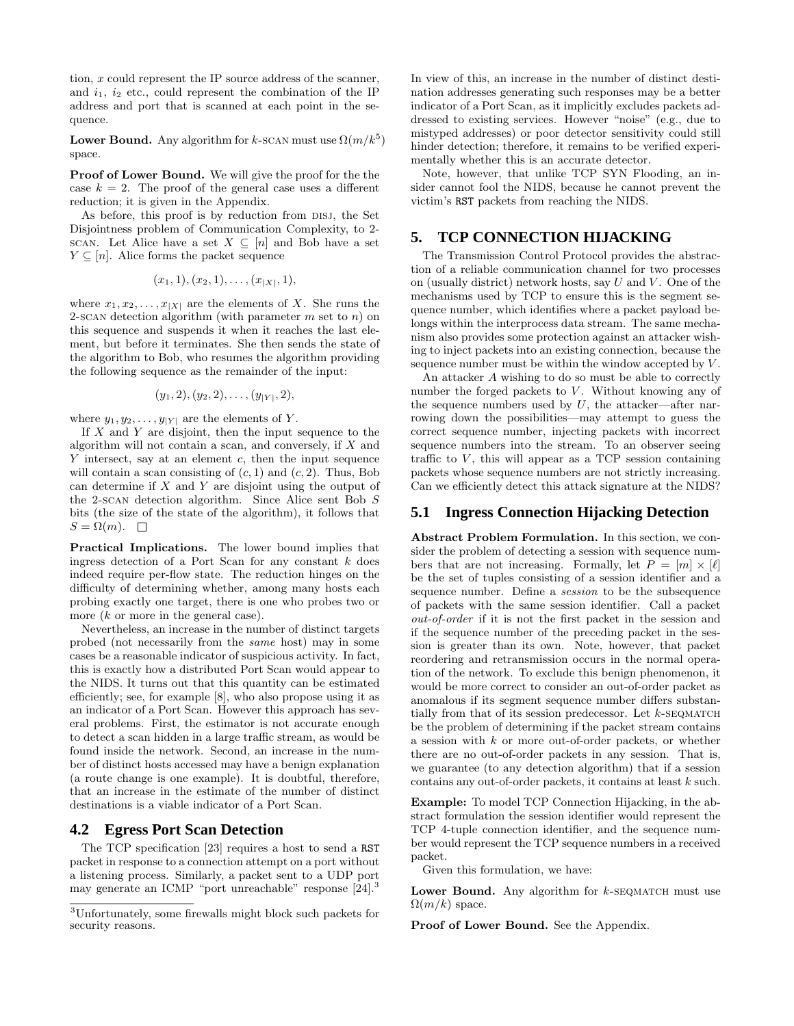tion, x could represent the IP source address of the scanner, and  $i_1$ ,  $i_2$  etc., could represent the combination of the IP address and port that is scanned at each point in the sequence.

**Lower Bound.** Any algorithm for k-SCAN must use  $\Omega(m/k^5)$ space.

Proof of Lower Bound. We will give the proof for the the case  $k = 2$ . The proof of the general case uses a different reduction; it is given in the Appendix.

As before, this proof is by reduction from DISJ, the Set Disjointness problem of Communication Complexity, to 2- SCAN. Let Alice have a set  $X \subseteq [n]$  and Bob have a set  $Y \subseteq [n]$ . Alice forms the packet sequence

$$
(x_1, 1), (x_2, 1), \ldots, (x_{|X|}, 1),
$$

where  $x_1, x_2, \ldots, x_{|X|}$  are the elements of X. She runs the 2-scan detection algorithm (with parameter  $m$  set to  $n$ ) on this sequence and suspends it when it reaches the last element, but before it terminates. She then sends the state of the algorithm to Bob, who resumes the algorithm providing the following sequence as the remainder of the input:

$$
(y_1, 2), (y_2, 2), \ldots, (y_{|Y|}, 2),
$$

where  $y_1, y_2, \ldots, y_{|Y|}$  are the elements of Y.

If  $X$  and  $Y$  are disjoint, then the input sequence to the algorithm will not contain a scan, and conversely, if X and Y intersect, say at an element  $c$ , then the input sequence will contain a scan consisting of  $(c, 1)$  and  $(c, 2)$ . Thus, Bob can determine if  $X$  and  $Y$  are disjoint using the output of the 2-scan detection algorithm. Since Alice sent Bob S bits (the size of the state of the algorithm), it follows that  $S = \Omega(m)$ .  $\Box$ 

Practical Implications. The lower bound implies that ingress detection of a Port Scan for any constant  $k$  does indeed require per-flow state. The reduction hinges on the difficulty of determining whether, among many hosts each probing exactly one target, there is one who probes two or more (k or more in the general case).

Nevertheless, an increase in the number of distinct targets probed (not necessarily from the same host) may in some cases be a reasonable indicator of suspicious activity. In fact, this is exactly how a distributed Port Scan would appear to the NIDS. It turns out that this quantity can be estimated efficiently; see, for example [8], who also propose using it as an indicator of a Port Scan. However this approach has several problems. First, the estimator is not accurate enough to detect a scan hidden in a large traffic stream, as would be found inside the network. Second, an increase in the number of distinct hosts accessed may have a benign explanation (a route change is one example). It is doubtful, therefore, that an increase in the estimate of the number of distinct destinations is a viable indicator of a Port Scan.

#### **4.2 Egress Port Scan Detection**

The TCP specification [23] requires a host to send a RST packet in response to a connection attempt on a port without a listening process. Similarly, a packet sent to a UDP port may generate an ICMP "port unreachable" response [24].<sup>3</sup>

In view of this, an increase in the number of distinct destination addresses generating such responses may be a better indicator of a Port Scan, as it implicitly excludes packets addressed to existing services. However "noise" (e.g., due to mistyped addresses) or poor detector sensitivity could still hinder detection; therefore, it remains to be verified experimentally whether this is an accurate detector.

Note, however, that unlike TCP SYN Flooding, an insider cannot fool the NIDS, because he cannot prevent the victim's RST packets from reaching the NIDS.

# **5. TCP CONNECTION HIJACKING**

The Transmission Control Protocol provides the abstraction of a reliable communication channel for two processes on (usually district) network hosts, say  $U$  and  $V$ . One of the mechanisms used by TCP to ensure this is the segment sequence number, which identifies where a packet payload belongs within the interprocess data stream. The same mechanism also provides some protection against an attacker wishing to inject packets into an existing connection, because the sequence number must be within the window accepted by  $V$ .

An attacker A wishing to do so must be able to correctly number the forged packets to  $V$ . Without knowing any of the sequence numbers used by  $U$ , the attacker—after narrowing down the possibilities—may attempt to guess the correct sequence number, injecting packets with incorrect sequence numbers into the stream. To an observer seeing traffic to  $V$ , this will appear as a TCP session containing packets whose sequence numbers are not strictly increasing. Can we efficiently detect this attack signature at the NIDS?

#### **5.1 Ingress Connection Hijacking Detection**

Abstract Problem Formulation. In this section, we consider the problem of detecting a session with sequence numbers that are not increasing. Formally, let  $P = [m] \times [\ell]$ be the set of tuples consisting of a session identifier and a sequence number. Define a session to be the subsequence of packets with the same session identifier. Call a packet out-of-order if it is not the first packet in the session and if the sequence number of the preceding packet in the session is greater than its own. Note, however, that packet reordering and retransmission occurs in the normal operation of the network. To exclude this benign phenomenon, it would be more correct to consider an out-of-order packet as anomalous if its segment sequence number differs substantially from that of its session predecessor. Let  $k$ -SEQMATCH be the problem of determining if the packet stream contains a session with  $k$  or more out-of-order packets, or whether there are no out-of-order packets in any session. That is, we guarantee (to any detection algorithm) that if a session contains any out-of-order packets, it contains at least k such.

Example: To model TCP Connection Hijacking, in the abstract formulation the session identifier would represent the TCP 4-tuple connection identifier, and the sequence number would represent the TCP sequence numbers in a received packet.

Given this formulation, we have:

Lower Bound. Any algorithm for  $k$ -SEQMATCH must use  $\Omega(m/k)$  space.

Proof of Lower Bound. See the Appendix.

<sup>3</sup>Unfortunately, some firewalls might block such packets for security reasons.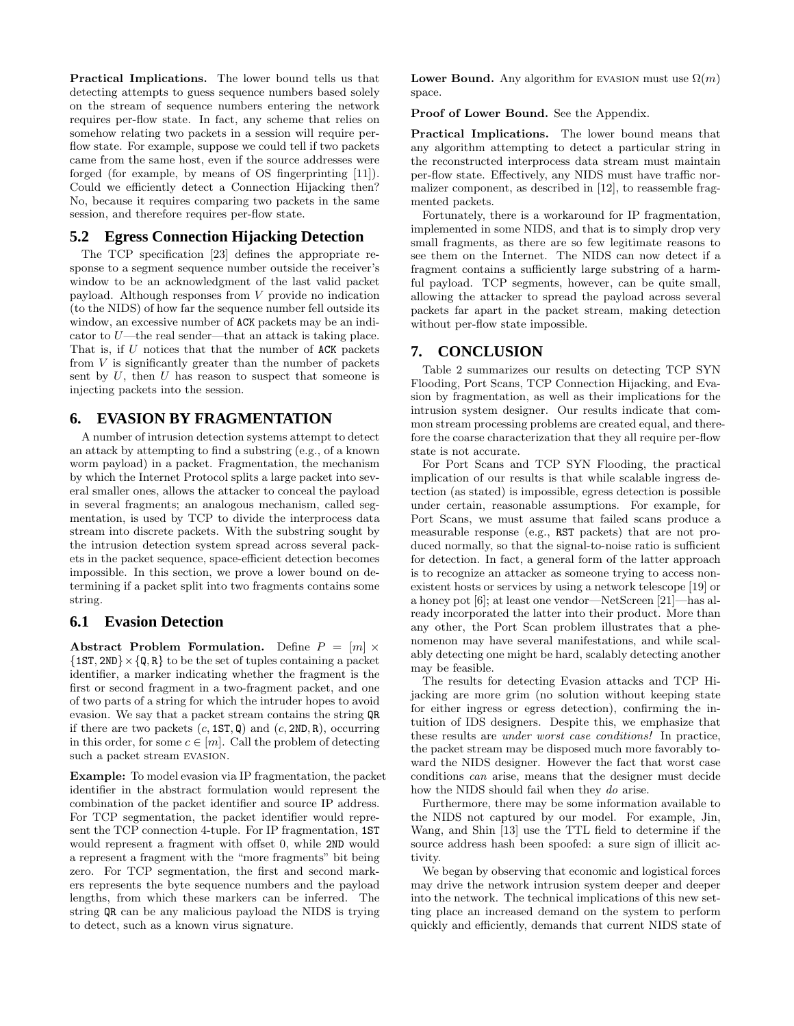Practical Implications. The lower bound tells us that detecting attempts to guess sequence numbers based solely on the stream of sequence numbers entering the network requires per-flow state. In fact, any scheme that relies on somehow relating two packets in a session will require perflow state. For example, suppose we could tell if two packets came from the same host, even if the source addresses were forged (for example, by means of OS fingerprinting [11]). Could we efficiently detect a Connection Hijacking then? No, because it requires comparing two packets in the same session, and therefore requires per-flow state.

#### **5.2 Egress Connection Hijacking Detection**

The TCP specification [23] defines the appropriate response to a segment sequence number outside the receiver's window to be an acknowledgment of the last valid packet payload. Although responses from V provide no indication (to the NIDS) of how far the sequence number fell outside its window, an excessive number of ACK packets may be an indicator to U—the real sender—that an attack is taking place. That is, if  $U$  notices that that the number of  $ACK$  packets from  $V$  is significantly greater than the number of packets sent by  $U$ , then  $U$  has reason to suspect that someone is injecting packets into the session.

# **6. EVASION BY FRAGMENTATION**

A number of intrusion detection systems attempt to detect an attack by attempting to find a substring (e.g., of a known worm payload) in a packet. Fragmentation, the mechanism by which the Internet Protocol splits a large packet into several smaller ones, allows the attacker to conceal the payload in several fragments; an analogous mechanism, called segmentation, is used by TCP to divide the interprocess data stream into discrete packets. With the substring sought by the intrusion detection system spread across several packets in the packet sequence, space-efficient detection becomes impossible. In this section, we prove a lower bound on determining if a packet split into two fragments contains some string.

## **6.1 Evasion Detection**

Abstract Problem Formulation. Define  $P = [m] \times$  $\{1ST, 2ND\} \times \{Q, R\}$  to be the set of tuples containing a packet identifier, a marker indicating whether the fragment is the first or second fragment in a two-fragment packet, and one of two parts of a string for which the intruder hopes to avoid evasion. We say that a packet stream contains the string QR if there are two packets  $(c, 1ST, Q)$  and  $(c, 2ND, R)$ , occurring in this order, for some  $c \in [m]$ . Call the problem of detecting such a packet stream evasion.

Example: To model evasion via IP fragmentation, the packet identifier in the abstract formulation would represent the combination of the packet identifier and source IP address. For TCP segmentation, the packet identifier would represent the TCP connection 4-tuple. For IP fragmentation, 1ST would represent a fragment with offset 0, while 2ND would a represent a fragment with the "more fragments" bit being zero. For TCP segmentation, the first and second markers represents the byte sequence numbers and the payload lengths, from which these markers can be inferred. The string QR can be any malicious payload the NIDS is trying to detect, such as a known virus signature.

**Lower Bound.** Any algorithm for EVASION must use  $\Omega(m)$ space.

Proof of Lower Bound. See the Appendix.

Practical Implications. The lower bound means that any algorithm attempting to detect a particular string in the reconstructed interprocess data stream must maintain per-flow state. Effectively, any NIDS must have traffic normalizer component, as described in [12], to reassemble fragmented packets.

Fortunately, there is a workaround for IP fragmentation, implemented in some NIDS, and that is to simply drop very small fragments, as there are so few legitimate reasons to see them on the Internet. The NIDS can now detect if a fragment contains a sufficiently large substring of a harmful payload. TCP segments, however, can be quite small, allowing the attacker to spread the payload across several packets far apart in the packet stream, making detection without per-flow state impossible.

# **7. CONCLUSION**

Table 2 summarizes our results on detecting TCP SYN Flooding, Port Scans, TCP Connection Hijacking, and Evasion by fragmentation, as well as their implications for the intrusion system designer. Our results indicate that common stream processing problems are created equal, and therefore the coarse characterization that they all require per-flow state is not accurate.

For Port Scans and TCP SYN Flooding, the practical implication of our results is that while scalable ingress detection (as stated) is impossible, egress detection is possible under certain, reasonable assumptions. For example, for Port Scans, we must assume that failed scans produce a measurable response (e.g., RST packets) that are not produced normally, so that the signal-to-noise ratio is sufficient for detection. In fact, a general form of the latter approach is to recognize an attacker as someone trying to access nonexistent hosts or services by using a network telescope [19] or a honey pot [6]; at least one vendor—NetScreen [21]—has already incorporated the latter into their product. More than any other, the Port Scan problem illustrates that a phenomenon may have several manifestations, and while scalably detecting one might be hard, scalably detecting another may be feasible.

The results for detecting Evasion attacks and TCP Hijacking are more grim (no solution without keeping state for either ingress or egress detection), confirming the intuition of IDS designers. Despite this, we emphasize that these results are under worst case conditions! In practice, the packet stream may be disposed much more favorably toward the NIDS designer. However the fact that worst case conditions can arise, means that the designer must decide how the NIDS should fail when they do arise.

Furthermore, there may be some information available to the NIDS not captured by our model. For example, Jin, Wang, and Shin [13] use the TTL field to determine if the source address hash been spoofed: a sure sign of illicit activity.

We began by observing that economic and logistical forces may drive the network intrusion system deeper and deeper into the network. The technical implications of this new setting place an increased demand on the system to perform quickly and efficiently, demands that current NIDS state of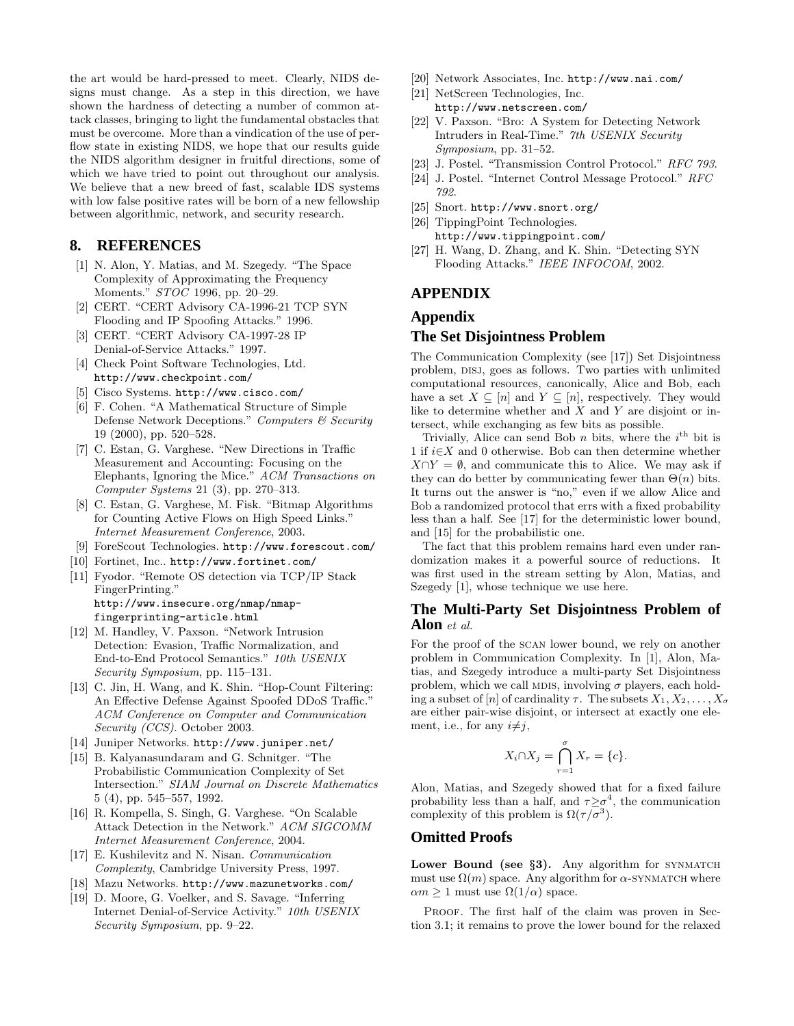the art would be hard-pressed to meet. Clearly, NIDS designs must change. As a step in this direction, we have shown the hardness of detecting a number of common attack classes, bringing to light the fundamental obstacles that must be overcome. More than a vindication of the use of perflow state in existing NIDS, we hope that our results guide the NIDS algorithm designer in fruitful directions, some of which we have tried to point out throughout our analysis. We believe that a new breed of fast, scalable IDS systems with low false positive rates will be born of a new fellowship between algorithmic, network, and security research.

#### **8. REFERENCES**

- [1] N. Alon, Y. Matias, and M. Szegedy. "The Space Complexity of Approximating the Frequency Moments." STOC 1996, pp. 20–29.
- [2] CERT. "CERT Advisory CA-1996-21 TCP SYN Flooding and IP Spoofing Attacks." 1996.
- [3] CERT. "CERT Advisory CA-1997-28 IP Denial-of-Service Attacks." 1997.
- [4] Check Point Software Technologies, Ltd. http://www.checkpoint.com/
- [5] Cisco Systems. http://www.cisco.com/
- [6] F. Cohen. "A Mathematical Structure of Simple Defense Network Deceptions." Computers & Security 19 (2000), pp. 520–528.
- [7] C. Estan, G. Varghese. "New Directions in Traffic Measurement and Accounting: Focusing on the Elephants, Ignoring the Mice." ACM Transactions on Computer Systems 21 (3), pp. 270–313.
- [8] C. Estan, G. Varghese, M. Fisk. "Bitmap Algorithms for Counting Active Flows on High Speed Links." Internet Measurement Conference, 2003.
- [9] ForeScout Technologies. http://www.forescout.com/
- [10] Fortinet, Inc.. http://www.fortinet.com/
- [11] Fyodor. "Remote OS detection via TCP/IP Stack FingerPrinting." http://www.insecure.org/nmap/nmapfingerprinting-article.html
- [12] M. Handley, V. Paxson. "Network Intrusion Detection: Evasion, Traffic Normalization, and End-to-End Protocol Semantics." 10th USENIX Security Symposium, pp. 115–131.
- [13] C. Jin, H. Wang, and K. Shin. "Hop-Count Filtering: An Effective Defense Against Spoofed DDoS Traffic." ACM Conference on Computer and Communication Security (CCS). October 2003.
- [14] Juniper Networks. http://www.juniper.net/
- [15] B. Kalyanasundaram and G. Schnitger. "The Probabilistic Communication Complexity of Set Intersection." SIAM Journal on Discrete Mathematics 5 (4), pp. 545–557, 1992.
- [16] R. Kompella, S. Singh, G. Varghese. "On Scalable Attack Detection in the Network." ACM SIGCOMM Internet Measurement Conference, 2004.
- [17] E. Kushilevitz and N. Nisan. Communication Complexity, Cambridge University Press, 1997.
- [18] Mazu Networks. http://www.mazunetworks.com/
- [19] D. Moore, G. Voelker, and S. Savage. "Inferring Internet Denial-of-Service Activity." 10th USENIX Security Symposium, pp. 9–22.
- [20] Network Associates, Inc. http://www.nai.com/
- [21] NetScreen Technologies, Inc. http://www.netscreen.com/
- [22] V. Paxson. "Bro: A System for Detecting Network Intruders in Real-Time." 7th USENIX Security Symposium, pp. 31–52.
- [23] J. Postel. "Transmission Control Protocol." RFC 793.
- [24] J. Postel. "Internet Control Message Protocol." RFC 792.
- [25] Snort. http://www.snort.org/
- [26] TippingPoint Technologies. http://www.tippingpoint.com/
- [27] H. Wang, D. Zhang, and K. Shin. "Detecting SYN Flooding Attacks." IEEE INFOCOM, 2002.

#### **APPENDIX**

## **Appendix**

#### **The Set Disjointness Problem**

The Communication Complexity (see [17]) Set Disjointness problem, disj, goes as follows. Two parties with unlimited computational resources, canonically, Alice and Bob, each have a set  $X \subseteq [n]$  and  $Y \subseteq [n]$ , respectively. They would like to determine whether and  $X$  and  $Y$  are disjoint or intersect, while exchanging as few bits as possible.

Trivially, Alice can send Bob  $n$  bits, where the  $i<sup>th</sup>$  bit is 1 if  $i∈X$  and 0 otherwise. Bob can then determine whether  $X \cap Y = \emptyset$ , and communicate this to Alice. We may ask if they can do better by communicating fewer than  $\Theta(n)$  bits. It turns out the answer is "no," even if we allow Alice and Bob a randomized protocol that errs with a fixed probability less than a half. See [17] for the deterministic lower bound, and [15] for the probabilistic one.

The fact that this problem remains hard even under randomization makes it a powerful source of reductions. It was first used in the stream setting by Alon, Matias, and Szegedy [1], whose technique we use here.

#### **The Multi-Party Set Disjointness Problem of Alon** et al.

For the proof of the scan lower bound, we rely on another problem in Communication Complexity. In [1], Alon, Matias, and Szegedy introduce a multi-party Set Disjointness problem, which we call MDIS, involving  $\sigma$  players, each holding a subset of [n] of cardinality  $\tau$ . The subsets  $X_1, X_2, \ldots, X_{\sigma}$ are either pair-wise disjoint, or intersect at exactly one element, i.e., for any  $i\neq j$ ,

$$
X_i \cap X_j = \bigcap_{r=1}^{\sigma} X_r = \{c\}.
$$

Alon, Matias, and Szegedy showed that for a fixed failure probability less than a half, and  $\tau \geq \sigma^4$ , the communication complexity of this problem is  $\Omega(\tau/\sigma^3)$ .

#### **Omitted Proofs**

Lower Bound (see  $\S 3$ ). Any algorithm for SYNMATCH must use  $\Omega(m)$  space. Any algorithm for  $\alpha$ -SYNMATCH where  $\alpha m \geq 1$  must use  $\Omega(1/\alpha)$  space.

PROOF. The first half of the claim was proven in Section 3.1; it remains to prove the lower bound for the relaxed